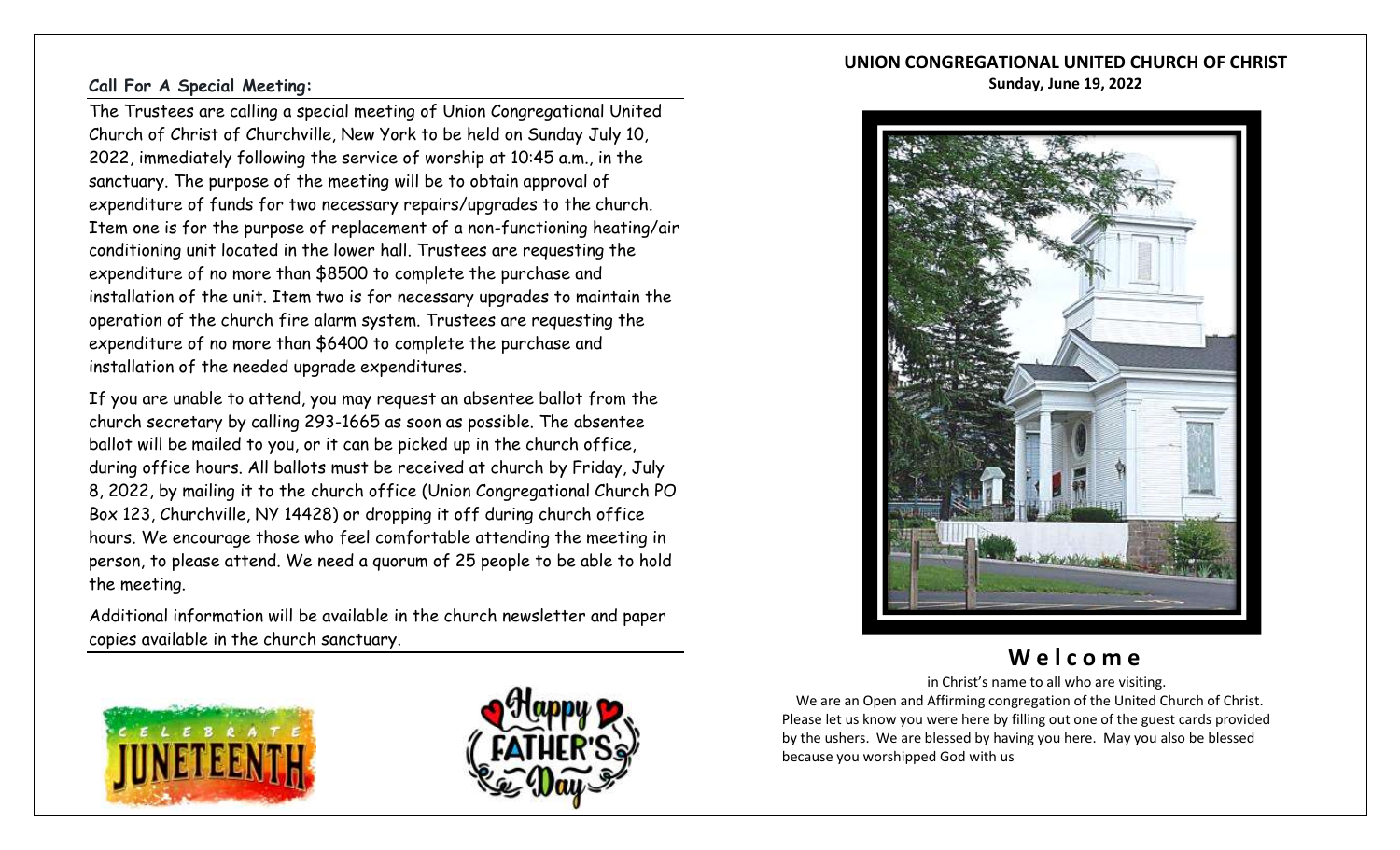# **UNION CONGREGATIONAL UNITED CHURCH OF CHRIST**

#### **Sunday, June 19, 2022**

### **Call For A Special Meeting:**

The Trustees are calling a special meeting of Union Congregational United Church of Christ of Churchville, New York to be held on Sunday July 10, 2022, immediately following the service of worship at 10:45 a.m., in the sanctuary. The purpose of the meeting will be to obtain approval of expenditure of funds for two necessary repairs/upgrades to the church. Item one is for the purpose of replacement of a non-functioning heating/air conditioning unit located in the lower hall. Trustees are requesting the expenditure of no more than \$8500 to complete the purchase and installation of the unit. Item two is for necessary upgrades to maintain the operation of the church fire alarm system. Trustees are requesting the expenditure of no more than \$6400 to complete the purchase and installation of the needed upgrade expenditures.

If you are unable to attend, you may request an absentee ballot from the church secretary by calling 293-1665 as soon as possible. The absentee ballot will be mailed to you, or it can be picked up in the church office, during office hours. All ballots must be received at church by Friday, July 8, 2022, by mailing it to the church office (Union Congregational Church PO Box 123, Churchville, NY 14428) or dropping it off during church office hours. We encourage those who feel comfortable attending the meeting in person, to please attend. We need a quorum of 25 people to be able to hold the meeting.

Additional information will be available in the church newsletter and paper copies available in the church sanctuary.







# **W e l c o m e**

 in Christ's name to all who are visiting. We are an Open and Affirming congregation of the United Church of Christ. Please let us know you were here by filling out one of the guest cards provided by the ushers. We are blessed by having you here. May you also be blessed because you worshipped God with us